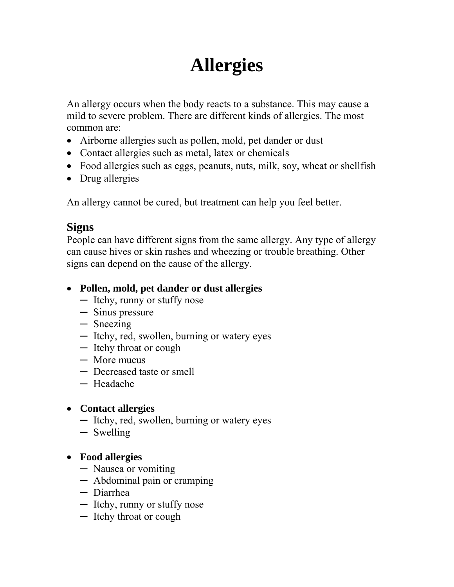# **Allergies**

An allergy occurs when the body reacts to a substance. This may cause a mild to severe problem. There are different kinds of allergies. The most common are:

- Airborne allergies such as pollen, mold, pet dander or dust
- Contact allergies such as metal, latex or chemicals
- Food allergies such as eggs, peanuts, nuts, milk, soy, wheat or shellfish
- Drug allergies

An allergy cannot be cured, but treatment can help you feel better.

## **Signs**

People can have different signs from the same allergy. Any type of allergy can cause hives or skin rashes and wheezing or trouble breathing. Other signs can depend on the cause of the allergy.

### • **Pollen, mold, pet dander or dust allergies**

- ─ Itchy, runny or stuffy nose
- ─ Sinus pressure
- ─ Sneezing
- ─ Itchy, red, swollen, burning or watery eyes
- ─ Itchy throat or cough
- ─ More mucus
- ─ Decreased taste or smell
- ─ Headache

#### • **Contact allergies**

- ─ Itchy, red, swollen, burning or watery eyes
- ─ Swelling
- **Food allergies** 
	- ─ Nausea or vomiting
	- ─ Abdominal pain or cramping
	- ─ Diarrhea
	- ─ Itchy, runny or stuffy nose
	- ─ Itchy throat or cough